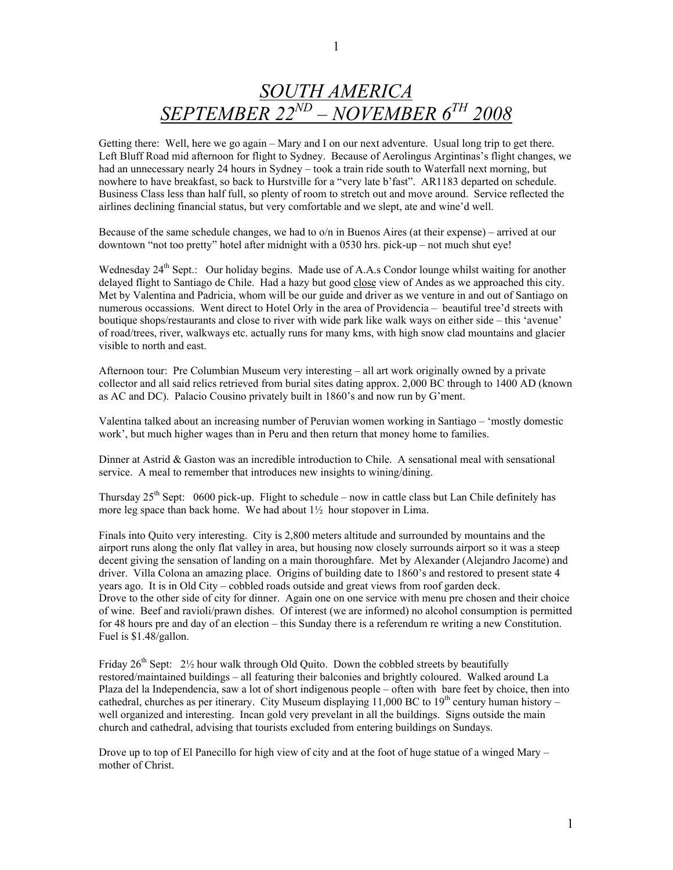## *SOUTH AMERICA SEPTEMBER 22ND – NOVEMBER 6TH 2008*

Getting there: Well, here we go again – Mary and I on our next adventure. Usual long trip to get there. Left Bluff Road mid afternoon for flight to Sydney. Because of Aerolingus Argintinas's flight changes, we had an unnecessary nearly 24 hours in Sydney – took a train ride south to Waterfall next morning, but nowhere to have breakfast, so back to Hurstville for a "very late b'fast". AR1183 departed on schedule. Business Class less than half full, so plenty of room to stretch out and move around. Service reflected the airlines declining financial status, but very comfortable and we slept, ate and wine'd well.

Because of the same schedule changes, we had to o/n in Buenos Aires (at their expense) – arrived at our downtown "not too pretty" hotel after midnight with a 0530 hrs. pick-up – not much shut eye!

Wednesday 24<sup>th</sup> Sept.: Our holiday begins. Made use of A.A.s Condor lounge whilst waiting for another delayed flight to Santiago de Chile. Had a hazy but good close view of Andes as we approached this city. Met by Valentina and Padricia, whom will be our guide and driver as we venture in and out of Santiago on numerous occassions. Went direct to Hotel Orly in the area of Providencia – beautiful tree'd streets with boutique shops/restaurants and close to river with wide park like walk ways on either side – this 'avenue' of road/trees, river, walkways etc. actually runs for many kms, with high snow clad mountains and glacier visible to north and east.

Afternoon tour: Pre Columbian Museum very interesting – all art work originally owned by a private collector and all said relics retrieved from burial sites dating approx. 2,000 BC through to 1400 AD (known as AC and DC). Palacio Cousino privately built in 1860's and now run by G'ment.

Valentina talked about an increasing number of Peruvian women working in Santiago – 'mostly domestic work', but much higher wages than in Peru and then return that money home to families.

Dinner at Astrid & Gaston was an incredible introduction to Chile. A sensational meal with sensational service. A meal to remember that introduces new insights to wining/dining.

Thursday  $25<sup>th</sup>$  Sept: 0600 pick-up. Flight to schedule – now in cattle class but Lan Chile definitely has more leg space than back home. We had about 1½ hour stopover in Lima.

Finals into Quito very interesting. City is 2,800 meters altitude and surrounded by mountains and the airport runs along the only flat valley in area, but housing now closely surrounds airport so it was a steep decent giving the sensation of landing on a main thoroughfare. Met by Alexander (Alejandro Jacome) and driver. Villa Colona an amazing place. Origins of building date to 1860's and restored to present state 4 years ago. It is in Old City – cobbled roads outside and great views from roof garden deck. Drove to the other side of city for dinner. Again one on one service with menu pre chosen and their choice of wine. Beef and ravioli/prawn dishes. Of interest (we are informed) no alcohol consumption is permitted for 48 hours pre and day of an election – this Sunday there is a referendum re writing a new Constitution. Fuel is \$1.48/gallon.

Friday  $26<sup>th</sup>$  Sept:  $2\frac{1}{2}$  hour walk through Old Quito. Down the cobbled streets by beautifully restored/maintained buildings – all featuring their balconies and brightly coloured. Walked around La Plaza del la Independencia, saw a lot of short indigenous people – often with bare feet by choice, then into cathedral, churches as per itinerary. City Museum displaying 11,000 BC to 19<sup>th</sup> century human history – well organized and interesting. Incan gold very prevelant in all the buildings. Signs outside the main church and cathedral, advising that tourists excluded from entering buildings on Sundays.

Drove up to top of El Panecillo for high view of city and at the foot of huge statue of a winged Mary – mother of Christ.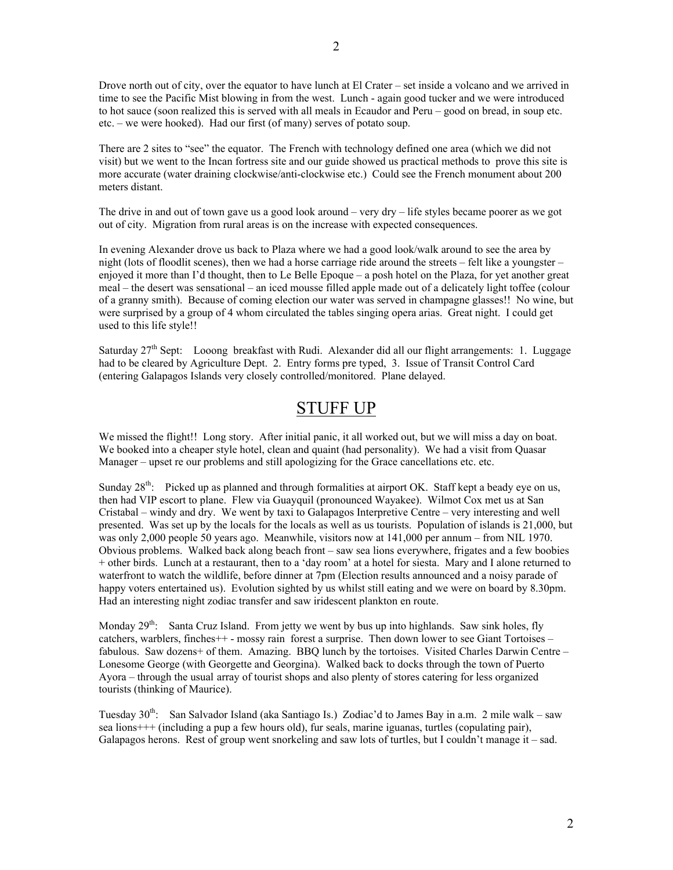Drove north out of city, over the equator to have lunch at El Crater – set inside a volcano and we arrived in time to see the Pacific Mist blowing in from the west. Lunch - again good tucker and we were introduced to hot sauce (soon realized this is served with all meals in Ecaudor and Peru – good on bread, in soup etc. etc. – we were hooked). Had our first (of many) serves of potato soup.

There are 2 sites to "see" the equator. The French with technology defined one area (which we did not visit) but we went to the Incan fortress site and our guide showed us practical methods to prove this site is more accurate (water draining clockwise/anti-clockwise etc.) Could see the French monument about 200 meters distant.

The drive in and out of town gave us a good look around – very dry – life styles became poorer as we got out of city. Migration from rural areas is on the increase with expected consequences.

In evening Alexander drove us back to Plaza where we had a good look/walk around to see the area by night (lots of floodlit scenes), then we had a horse carriage ride around the streets – felt like a youngster – enjoyed it more than I'd thought, then to Le Belle Epoque – a posh hotel on the Plaza, for yet another great meal – the desert was sensational – an iced mousse filled apple made out of a delicately light toffee (colour of a granny smith). Because of coming election our water was served in champagne glasses!! No wine, but were surprised by a group of 4 whom circulated the tables singing opera arias. Great night. I could get used to this life style!!

Saturday  $27<sup>th</sup>$  Sept: Looong breakfast with Rudi. Alexander did all our flight arrangements: 1. Luggage had to be cleared by Agriculture Dept. 2. Entry forms pre typed, 3. Issue of Transit Control Card (entering Galapagos Islands very closely controlled/monitored. Plane delayed.

## STUFF UP

We missed the flight!! Long story. After initial panic, it all worked out, but we will miss a day on boat. We booked into a cheaper style hotel, clean and quaint (had personality). We had a visit from Quasar Manager – upset re our problems and still apologizing for the Grace cancellations etc. etc.

Sunday  $28<sup>th</sup>$ : Picked up as planned and through formalities at airport OK. Staff kept a beady eye on us, then had VIP escort to plane. Flew via Guayquil (pronounced Wayakee). Wilmot Cox met us at San Cristabal – windy and dry. We went by taxi to Galapagos Interpretive Centre – very interesting and well presented. Was set up by the locals for the locals as well as us tourists. Population of islands is 21,000, but was only 2,000 people 50 years ago. Meanwhile, visitors now at 141,000 per annum – from NIL 1970. Obvious problems. Walked back along beach front – saw sea lions everywhere, frigates and a few boobies + other birds. Lunch at a restaurant, then to a 'day room' at a hotel for siesta. Mary and I alone returned to waterfront to watch the wildlife, before dinner at 7pm (Election results announced and a noisy parade of happy voters entertained us). Evolution sighted by us whilst still eating and we were on board by 8.30pm. Had an interesting night zodiac transfer and saw iridescent plankton en route.

Monday  $29^{th}$ : Santa Cruz Island. From jetty we went by bus up into highlands. Saw sink holes, fly catchers, warblers, finches++ - mossy rain forest a surprise. Then down lower to see Giant Tortoises – fabulous. Saw dozens+ of them. Amazing. BBQ lunch by the tortoises. Visited Charles Darwin Centre – Lonesome George (with Georgette and Georgina). Walked back to docks through the town of Puerto Ayora – through the usual array of tourist shops and also plenty of stores catering for less organized tourists (thinking of Maurice).

Tuesday  $30^{th}$ : San Salvador Island (aka Santiago Is.) Zodiac'd to James Bay in a.m. 2 mile walk – saw sea lions+++ (including a pup a few hours old), fur seals, marine iguanas, turtles (copulating pair), Galapagos herons. Rest of group went snorkeling and saw lots of turtles, but I couldn't manage it – sad.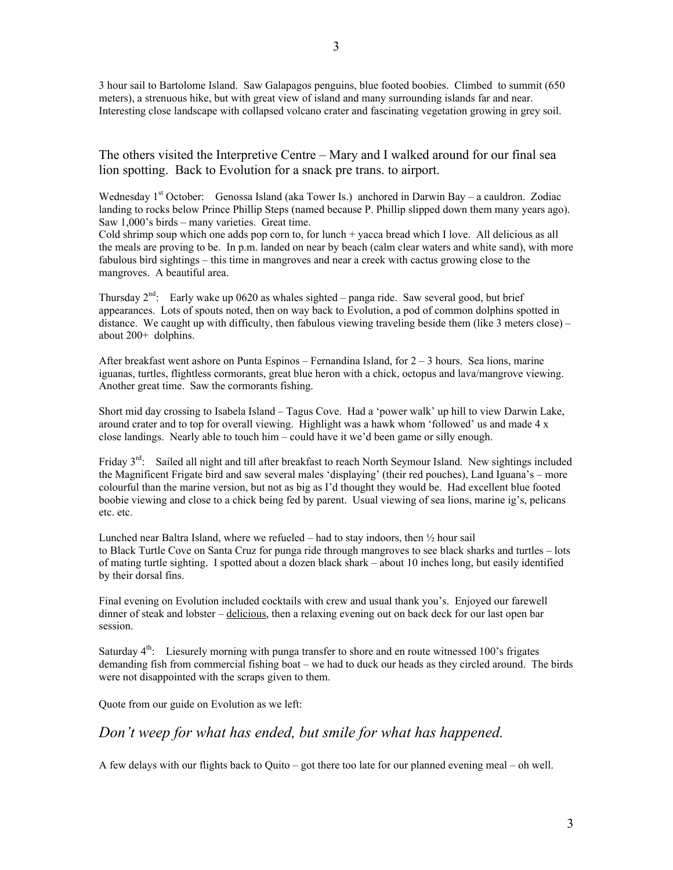3 hour sail to Bartolome Island. Saw Galapagos penguins, blue footed boobies. Climbed to summit (650 meters), a strenuous hike, but with great view of island and many surrounding islands far and near. Interesting close landscape with collapsed volcano crater and fascinating vegetation growing in grey soil.

The others visited the Interpretive Centre – Mary and I walked around for our final sea lion spotting. Back to Evolution for a snack pre trans. to airport.

Wednesday  $1<sup>st</sup>$  October: Genossa Island (aka Tower Is.) anchored in Darwin Bay – a cauldron. Zodiac landing to rocks below Prince Phillip Steps (named because P. Phillip slipped down them many years ago). Saw 1,000's birds – many varieties. Great time.

Cold shrimp soup which one adds pop corn to, for lunch + yacca bread which I love. All delicious as all the meals are proving to be. In p.m. landed on near by beach (calm clear waters and white sand), with more fabulous bird sightings – this time in mangroves and near a creek with cactus growing close to the mangroves. A beautiful area.

Thursday  $2^{nd}$ : Early wake up 0620 as whales sighted – panga ride. Saw several good, but brief appearances. Lots of spouts noted, then on way back to Evolution, a pod of common dolphins spotted in distance. We caught up with difficulty, then fabulous viewing traveling beside them (like 3 meters close) – about 200+ dolphins.

After breakfast went ashore on Punta Espinos – Fernandina Island, for 2 – 3 hours. Sea lions, marine iguanas, turtles, flightless cormorants, great blue heron with a chick, octopus and lava/mangrove viewing. Another great time. Saw the cormorants fishing.

Short mid day crossing to Isabela Island – Tagus Cove. Had a 'power walk' up hill to view Darwin Lake, around crater and to top for overall viewing. Highlight was a hawk whom 'followed' us and made 4 x close landings. Nearly able to touch him – could have it we'd been game or silly enough.

Friday 3<sup>rd</sup>: Sailed all night and till after breakfast to reach North Seymour Island. New sightings included the Magnificent Frigate bird and saw several males 'displaying' (their red pouches), Land Iguana's – more colourful than the marine version, but not as big as I'd thought they would be. Had excellent blue footed boobie viewing and close to a chick being fed by parent. Usual viewing of sea lions, marine ig's, pelicans etc. etc.

Lunched near Baltra Island, where we refueled – had to stay indoors, then ½ hour sail to Black Turtle Cove on Santa Cruz for punga ride through mangroves to see black sharks and turtles – lots of mating turtle sighting. I spotted about a dozen black shark – about 10 inches long, but easily identified by their dorsal fins.

Final evening on Evolution included cocktails with crew and usual thank you's. Enjoyed our farewell dinner of steak and lobster – delicious, then a relaxing evening out on back deck for our last open bar session.

Saturday  $4<sup>th</sup>$ : Liesurely morning with punga transfer to shore and en route witnessed 100's frigates demanding fish from commercial fishing boat – we had to duck our heads as they circled around. The birds were not disappointed with the scraps given to them.

Quote from our guide on Evolution as we left:

## *Don't weep for what has ended, but smile for what has happened.*

A few delays with our flights back to Quito – got there too late for our planned evening meal – oh well.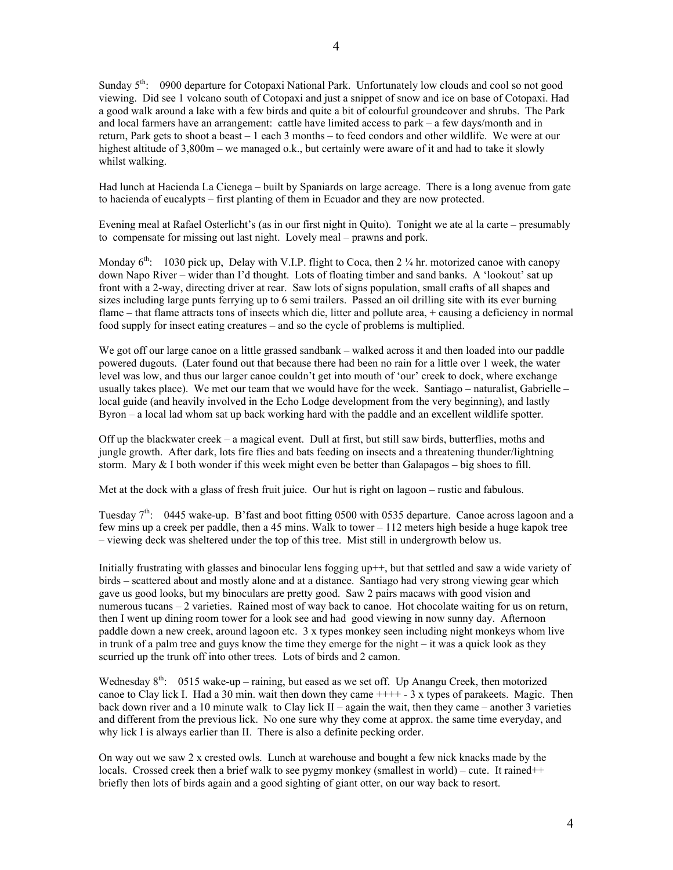Sunday 5<sup>th</sup>: 0900 departure for Cotopaxi National Park. Unfortunately low clouds and cool so not good viewing. Did see 1 volcano south of Cotopaxi and just a snippet of snow and ice on base of Cotopaxi. Had a good walk around a lake with a few birds and quite a bit of colourful groundcover and shrubs. The Park and local farmers have an arrangement: cattle have limited access to park – a few days/month and in return, Park gets to shoot a beast – 1 each 3 months – to feed condors and other wildlife. We were at our highest altitude of 3,800m – we managed o.k., but certainly were aware of it and had to take it slowly whilst walking.

Had lunch at Hacienda La Cienega – built by Spaniards on large acreage. There is a long avenue from gate to hacienda of eucalypts – first planting of them in Ecuador and they are now protected.

Evening meal at Rafael Osterlicht's (as in our first night in Quito). Tonight we ate al la carte – presumably to compensate for missing out last night. Lovely meal – prawns and pork.

Monday  $6<sup>th</sup>$ : 1030 pick up, Delay with V.I.P. flight to Coca, then 2  $\frac{1}{4}$  hr. motorized canoe with canopy down Napo River – wider than I'd thought. Lots of floating timber and sand banks. A 'lookout' sat up front with a 2-way, directing driver at rear. Saw lots of signs population, small crafts of all shapes and sizes including large punts ferrying up to 6 semi trailers. Passed an oil drilling site with its ever burning flame – that flame attracts tons of insects which die, litter and pollute area, + causing a deficiency in normal food supply for insect eating creatures – and so the cycle of problems is multiplied.

We got off our large canoe on a little grassed sandbank – walked across it and then loaded into our paddle powered dugouts. (Later found out that because there had been no rain for a little over 1 week, the water level was low, and thus our larger canoe couldn't get into mouth of 'our' creek to dock, where exchange usually takes place). We met our team that we would have for the week. Santiago – naturalist, Gabrielle – local guide (and heavily involved in the Echo Lodge development from the very beginning), and lastly Byron – a local lad whom sat up back working hard with the paddle and an excellent wildlife spotter.

Off up the blackwater creek – a magical event. Dull at first, but still saw birds, butterflies, moths and jungle growth. After dark, lots fire flies and bats feeding on insects and a threatening thunder/lightning storm. Mary  $&$  I both wonder if this week might even be better than Galapagos – big shoes to fill.

Met at the dock with a glass of fresh fruit juice. Our hut is right on lagoon – rustic and fabulous.

Tuesday  $7<sup>th</sup>$ : 0445 wake-up. B'fast and boot fitting 0500 with 0535 departure. Canoe across lagoon and a few mins up a creek per paddle, then a 45 mins. Walk to tower – 112 meters high beside a huge kapok tree – viewing deck was sheltered under the top of this tree. Mist still in undergrowth below us.

Initially frustrating with glasses and binocular lens fogging up++, but that settled and saw a wide variety of birds – scattered about and mostly alone and at a distance. Santiago had very strong viewing gear which gave us good looks, but my binoculars are pretty good. Saw 2 pairs macaws with good vision and numerous tucans – 2 varieties. Rained most of way back to canoe. Hot chocolate waiting for us on return, then I went up dining room tower for a look see and had good viewing in now sunny day. Afternoon paddle down a new creek, around lagoon etc. 3 x types monkey seen including night monkeys whom live in trunk of a palm tree and guys know the time they emerge for the night – it was a quick look as they scurried up the trunk off into other trees. Lots of birds and 2 camon.

Wednesday  $8<sup>th</sup>$ : 0515 wake-up – raining, but eased as we set off. Up Anangu Creek, then motorized canoe to Clay lick I. Had a 30 min. wait then down they came  $+++ - 3x$  types of parakeets. Magic. Then back down river and a 10 minute walk to Clay lick  $II$  – again the wait, then they came – another 3 varieties and different from the previous lick. No one sure why they come at approx. the same time everyday, and why lick I is always earlier than II. There is also a definite pecking order.

On way out we saw  $2 \times$  crested owls. Lunch at warehouse and bought a few nick knacks made by the locals. Crossed creek then a brief walk to see pygmy monkey (smallest in world) – cute. It rained++ briefly then lots of birds again and a good sighting of giant otter, on our way back to resort.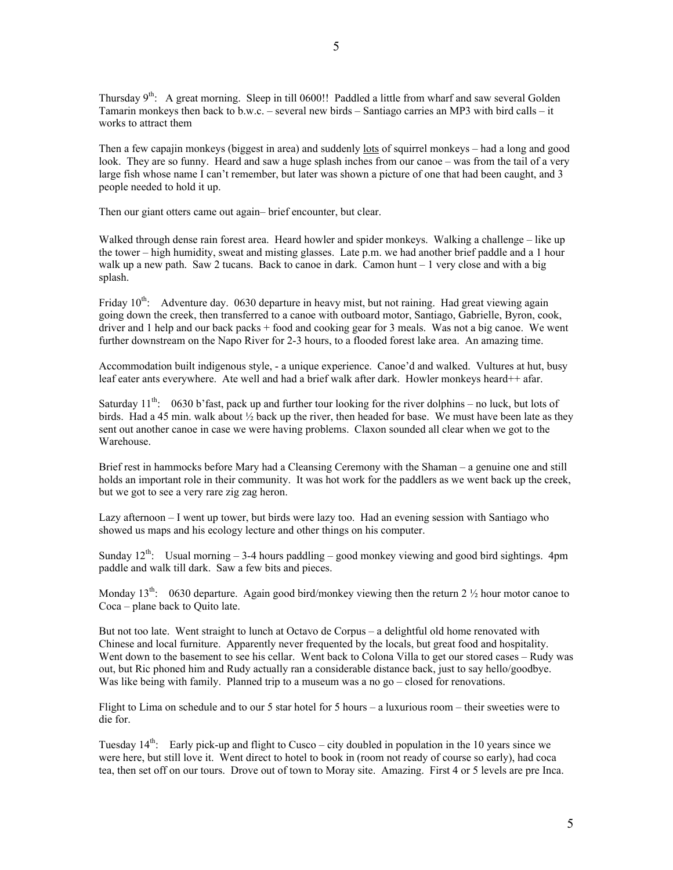Thursday  $9^{th}$ : A great morning. Sleep in till 0600!! Paddled a little from wharf and saw several Golden Tamarin monkeys then back to b.w.c. – several new birds – Santiago carries an MP3 with bird calls – it works to attract them

Then a few capajin monkeys (biggest in area) and suddenly lots of squirrel monkeys – had a long and good look. They are so funny. Heard and saw a huge splash inches from our canoe – was from the tail of a very large fish whose name I can't remember, but later was shown a picture of one that had been caught, and 3 people needed to hold it up.

Then our giant otters came out again– brief encounter, but clear.

Walked through dense rain forest area. Heard howler and spider monkeys. Walking a challenge – like up the tower – high humidity, sweat and misting glasses. Late p.m. we had another brief paddle and a 1 hour walk up a new path. Saw 2 tucans. Back to canoe in dark. Camon hunt – 1 very close and with a big splash.

Friday 10<sup>th</sup>: Adventure day. 0630 departure in heavy mist, but not raining. Had great viewing again going down the creek, then transferred to a canoe with outboard motor, Santiago, Gabrielle, Byron, cook, driver and 1 help and our back packs + food and cooking gear for 3 meals. Was not a big canoe. We went further downstream on the Napo River for 2-3 hours, to a flooded forest lake area. An amazing time.

Accommodation built indigenous style, - a unique experience. Canoe'd and walked. Vultures at hut, busy leaf eater ants everywhere. Ate well and had a brief walk after dark. Howler monkeys heard++ afar.

Saturday  $11^{th}$ : 0630 b'fast, pack up and further tour looking for the river dolphins – no luck, but lots of birds. Had a 45 min. walk about ½ back up the river, then headed for base. We must have been late as they sent out another canoe in case we were having problems. Claxon sounded all clear when we got to the Warehouse.

Brief rest in hammocks before Mary had a Cleansing Ceremony with the Shaman – a genuine one and still holds an important role in their community. It was hot work for the paddlers as we went back up the creek, but we got to see a very rare zig zag heron.

Lazy afternoon – I went up tower, but birds were lazy too. Had an evening session with Santiago who showed us maps and his ecology lecture and other things on his computer.

Sunday  $12<sup>th</sup>$ : Usual morning  $-3-4$  hours paddling  $-$  good monkey viewing and good bird sightings. 4pm paddle and walk till dark. Saw a few bits and pieces.

Monday 13<sup>th</sup>: 0630 departure. Again good bird/monkey viewing then the return 2  $\frac{1}{2}$  hour motor canoe to Coca – plane back to Quito late.

But not too late. Went straight to lunch at Octavo de Corpus – a delightful old home renovated with Chinese and local furniture. Apparently never frequented by the locals, but great food and hospitality. Went down to the basement to see his cellar. Went back to Colona Villa to get our stored cases – Rudy was out, but Ric phoned him and Rudy actually ran a considerable distance back, just to say hello/goodbye. Was like being with family. Planned trip to a museum was a no go – closed for renovations.

Flight to Lima on schedule and to our 5 star hotel for 5 hours – a luxurious room – their sweeties were to die for.

Tuesday  $14<sup>th</sup>$ : Early pick-up and flight to Cusco – city doubled in population in the 10 years since we were here, but still love it. Went direct to hotel to book in (room not ready of course so early), had coca tea, then set off on our tours. Drove out of town to Moray site. Amazing. First 4 or 5 levels are pre Inca.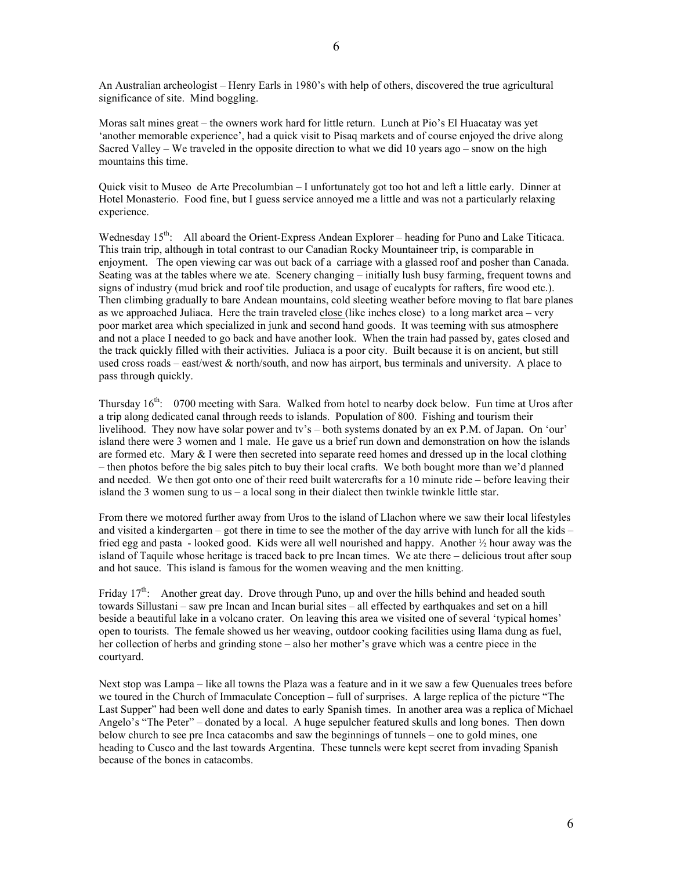An Australian archeologist – Henry Earls in 1980's with help of others, discovered the true agricultural significance of site. Mind boggling.

Moras salt mines great – the owners work hard for little return. Lunch at Pio's El Huacatay was yet 'another memorable experience', had a quick visit to Pisaq markets and of course enjoyed the drive along Sacred Valley – We traveled in the opposite direction to what we did 10 years ago – snow on the high mountains this time.

Quick visit to Museo de Arte Precolumbian – I unfortunately got too hot and left a little early. Dinner at Hotel Monasterio. Food fine, but I guess service annoyed me a little and was not a particularly relaxing experience.

Wednesday  $15<sup>th</sup>$ : All aboard the Orient-Express Andean Explorer – heading for Puno and Lake Titicaca. This train trip, although in total contrast to our Canadian Rocky Mountaineer trip, is comparable in enjoyment. The open viewing car was out back of a carriage with a glassed roof and posher than Canada. Seating was at the tables where we ate. Scenery changing – initially lush busy farming, frequent towns and signs of industry (mud brick and roof tile production, and usage of eucalypts for rafters, fire wood etc.). Then climbing gradually to bare Andean mountains, cold sleeting weather before moving to flat bare planes as we approached Juliaca. Here the train traveled close (like inches close) to a long market area – very poor market area which specialized in junk and second hand goods. It was teeming with sus atmosphere and not a place I needed to go back and have another look. When the train had passed by, gates closed and the track quickly filled with their activities. Juliaca is a poor city. Built because it is on ancient, but still used cross roads – east/west & north/south, and now has airport, bus terminals and university. A place to pass through quickly.

Thursday 16<sup>th</sup>: 0700 meeting with Sara. Walked from hotel to nearby dock below. Fun time at Uros after a trip along dedicated canal through reeds to islands. Population of 800. Fishing and tourism their livelihood. They now have solar power and tv's – both systems donated by an ex P.M. of Japan. On 'our' island there were 3 women and 1 male. He gave us a brief run down and demonstration on how the islands are formed etc. Mary  $& 1$  were then secreted into separate reed homes and dressed up in the local clothing – then photos before the big sales pitch to buy their local crafts. We both bought more than we'd planned and needed. We then got onto one of their reed built watercrafts for a 10 minute ride – before leaving their island the 3 women sung to us  $-$  a local song in their dialect then twinkle twinkle little star.

From there we motored further away from Uros to the island of Llachon where we saw their local lifestyles and visited a kindergarten – got there in time to see the mother of the day arrive with lunch for all the kids – fried egg and pasta - looked good. Kids were all well nourished and happy. Another  $\frac{1}{2}$  hour away was the island of Taquile whose heritage is traced back to pre Incan times. We ate there – delicious trout after soup and hot sauce. This island is famous for the women weaving and the men knitting.

Friday  $17<sup>th</sup>$ : Another great day. Drove through Puno, up and over the hills behind and headed south towards Sillustani – saw pre Incan and Incan burial sites – all effected by earthquakes and set on a hill beside a beautiful lake in a volcano crater. On leaving this area we visited one of several 'typical homes' open to tourists. The female showed us her weaving, outdoor cooking facilities using llama dung as fuel, her collection of herbs and grinding stone – also her mother's grave which was a centre piece in the courtyard.

Next stop was Lampa – like all towns the Plaza was a feature and in it we saw a few Quenuales trees before we toured in the Church of Immaculate Conception – full of surprises. A large replica of the picture "The Last Supper" had been well done and dates to early Spanish times. In another area was a replica of Michael Angelo's "The Peter" – donated by a local. A huge sepulcher featured skulls and long bones. Then down below church to see pre Inca catacombs and saw the beginnings of tunnels – one to gold mines, one heading to Cusco and the last towards Argentina. These tunnels were kept secret from invading Spanish because of the bones in catacombs.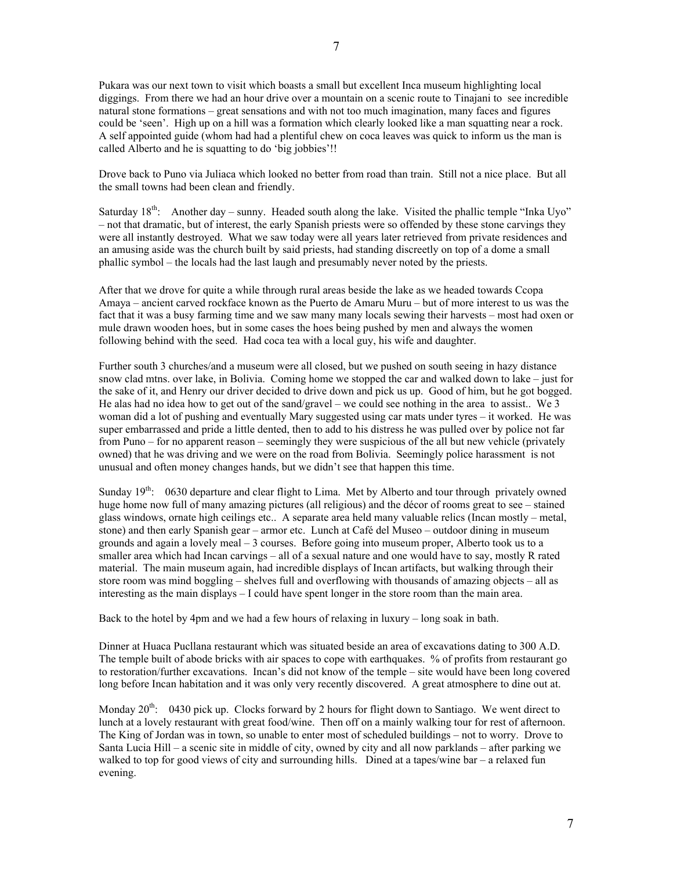Pukara was our next town to visit which boasts a small but excellent Inca museum highlighting local diggings. From there we had an hour drive over a mountain on a scenic route to Tinajani to see incredible natural stone formations – great sensations and with not too much imagination, many faces and figures could be 'seen'. High up on a hill was a formation which clearly looked like a man squatting near a rock. A self appointed guide (whom had had a plentiful chew on coca leaves was quick to inform us the man is called Alberto and he is squatting to do 'big jobbies'!!

Drove back to Puno via Juliaca which looked no better from road than train. Still not a nice place. But all the small towns had been clean and friendly.

Saturday  $18<sup>th</sup>$ : Another day – sunny. Headed south along the lake. Visited the phallic temple "Inka Uyo" – not that dramatic, but of interest, the early Spanish priests were so offended by these stone carvings they were all instantly destroyed. What we saw today were all years later retrieved from private residences and an amusing aside was the church built by said priests, had standing discreetly on top of a dome a small phallic symbol – the locals had the last laugh and presumably never noted by the priests.

After that we drove for quite a while through rural areas beside the lake as we headed towards Ccopa Amaya – ancient carved rockface known as the Puerto de Amaru Muru – but of more interest to us was the fact that it was a busy farming time and we saw many many locals sewing their harvests – most had oxen or mule drawn wooden hoes, but in some cases the hoes being pushed by men and always the women following behind with the seed. Had coca tea with a local guy, his wife and daughter.

Further south 3 churches/and a museum were all closed, but we pushed on south seeing in hazy distance snow clad mtns. over lake, in Bolivia. Coming home we stopped the car and walked down to lake – just for the sake of it, and Henry our driver decided to drive down and pick us up. Good of him, but he got bogged. He alas had no idea how to get out of the sand/gravel – we could see nothing in the area to assist.. We 3 woman did a lot of pushing and eventually Mary suggested using car mats under tyres – it worked. He was super embarrassed and pride a little dented, then to add to his distress he was pulled over by police not far from Puno – for no apparent reason – seemingly they were suspicious of the all but new vehicle (privately owned) that he was driving and we were on the road from Bolivia. Seemingly police harassment is not unusual and often money changes hands, but we didn't see that happen this time.

Sunday 19<sup>th</sup>: 0630 departure and clear flight to Lima. Met by Alberto and tour through privately owned huge home now full of many amazing pictures (all religious) and the décor of rooms great to see – stained glass windows, ornate high ceilings etc.. A separate area held many valuable relics (Incan mostly – metal, stone) and then early Spanish gear – armor etc. Lunch at Café del Museo – outdoor dining in museum grounds and again a lovely meal – 3 courses. Before going into museum proper, Alberto took us to a smaller area which had Incan carvings – all of a sexual nature and one would have to say, mostly R rated material. The main museum again, had incredible displays of Incan artifacts, but walking through their store room was mind boggling – shelves full and overflowing with thousands of amazing objects – all as interesting as the main displays – I could have spent longer in the store room than the main area.

Back to the hotel by 4pm and we had a few hours of relaxing in luxury – long soak in bath.

Dinner at Huaca Pucllana restaurant which was situated beside an area of excavations dating to 300 A.D. The temple built of abode bricks with air spaces to cope with earthquakes. % of profits from restaurant go to restoration/further excavations. Incan's did not know of the temple – site would have been long covered long before Incan habitation and it was only very recently discovered. A great atmosphere to dine out at.

Monday  $20^{th}$ : 0430 pick up. Clocks forward by 2 hours for flight down to Santiago. We went direct to lunch at a lovely restaurant with great food/wine. Then off on a mainly walking tour for rest of afternoon. The King of Jordan was in town, so unable to enter most of scheduled buildings – not to worry. Drove to Santa Lucia Hill – a scenic site in middle of city, owned by city and all now parklands – after parking we walked to top for good views of city and surrounding hills. Dined at a tapes/wine bar – a relaxed fun evening.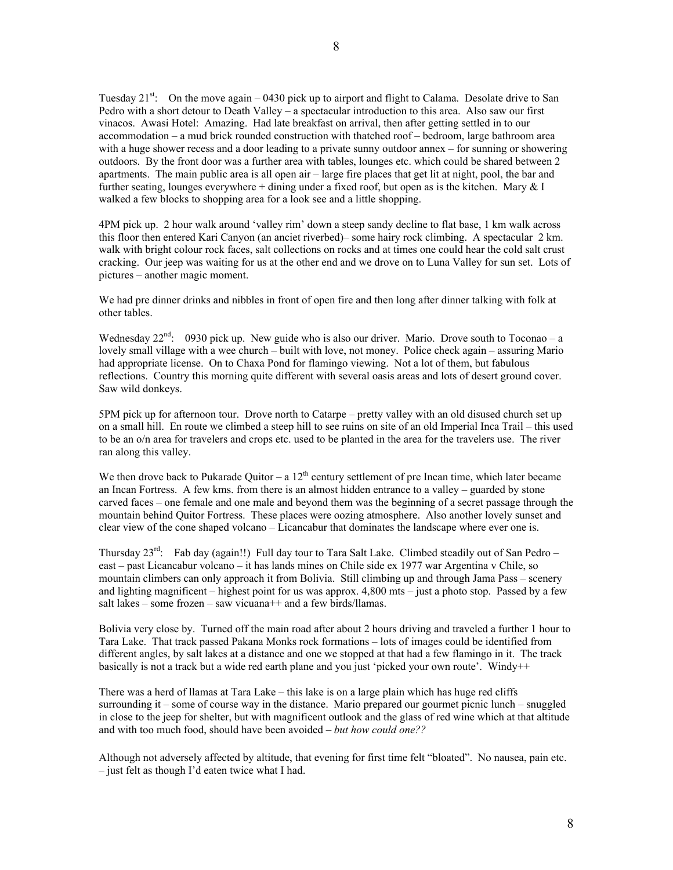Tuesday  $21^{st}$ : On the move again – 0430 pick up to airport and flight to Calama. Desolate drive to San Pedro with a short detour to Death Valley – a spectacular introduction to this area. Also saw our first vinacos. Awasi Hotel: Amazing. Had late breakfast on arrival, then after getting settled in to our accommodation – a mud brick rounded construction with thatched roof – bedroom, large bathroom area with a huge shower recess and a door leading to a private sunny outdoor annex – for sunning or showering outdoors. By the front door was a further area with tables, lounges etc. which could be shared between 2 apartments. The main public area is all open air – large fire places that get lit at night, pool, the bar and further seating, lounges everywhere + dining under a fixed roof, but open as is the kitchen. Mary  $& I$ walked a few blocks to shopping area for a look see and a little shopping.

4PM pick up. 2 hour walk around 'valley rim' down a steep sandy decline to flat base, 1 km walk across this floor then entered Kari Canyon (an anciet riverbed)– some hairy rock climbing. A spectacular 2 km. walk with bright colour rock faces, salt collections on rocks and at times one could hear the cold salt crust cracking. Our jeep was waiting for us at the other end and we drove on to Luna Valley for sun set. Lots of pictures – another magic moment.

We had pre dinner drinks and nibbles in front of open fire and then long after dinner talking with folk at other tables.

Wednesday  $22^{nd}$ : 0930 pick up. New guide who is also our driver. Mario. Drove south to Toconao – a lovely small village with a wee church – built with love, not money. Police check again – assuring Mario had appropriate license. On to Chaxa Pond for flamingo viewing. Not a lot of them, but fabulous reflections. Country this morning quite different with several oasis areas and lots of desert ground cover. Saw wild donkeys.

5PM pick up for afternoon tour. Drove north to Catarpe – pretty valley with an old disused church set up on a small hill. En route we climbed a steep hill to see ruins on site of an old Imperial Inca Trail – this used to be an o/n area for travelers and crops etc. used to be planted in the area for the travelers use. The river ran along this valley.

We then drove back to Pukarade Quitor – a  $12<sup>th</sup>$  century settlement of pre Incan time, which later became an Incan Fortress. A few kms. from there is an almost hidden entrance to a valley – guarded by stone carved faces – one female and one male and beyond them was the beginning of a secret passage through the mountain behind Quitor Fortress. These places were oozing atmosphere. Also another lovely sunset and clear view of the cone shaped volcano – Licancabur that dominates the landscape where ever one is.

Thursday  $23^{\text{rd}}$ : Fab day (again!!) Full day tour to Tara Salt Lake. Climbed steadily out of San Pedro – east – past Licancabur volcano – it has lands mines on Chile side ex 1977 war Argentina v Chile, so mountain climbers can only approach it from Bolivia. Still climbing up and through Jama Pass – scenery and lighting magnificent – highest point for us was approx.  $4,800$  mts – just a photo stop. Passed by a few salt lakes – some frozen – saw vicuana  $++$  and a few birds/llamas.

Bolivia very close by. Turned off the main road after about 2 hours driving and traveled a further 1 hour to Tara Lake. That track passed Pakana Monks rock formations – lots of images could be identified from different angles, by salt lakes at a distance and one we stopped at that had a few flamingo in it. The track basically is not a track but a wide red earth plane and you just 'picked your own route'. Windy++

There was a herd of llamas at Tara Lake – this lake is on a large plain which has huge red cliffs surrounding it – some of course way in the distance. Mario prepared our gourmet picnic lunch – snuggled in close to the jeep for shelter, but with magnificent outlook and the glass of red wine which at that altitude and with too much food, should have been avoided – *but how could one??*

Although not adversely affected by altitude, that evening for first time felt "bloated". No nausea, pain etc. – just felt as though I'd eaten twice what I had.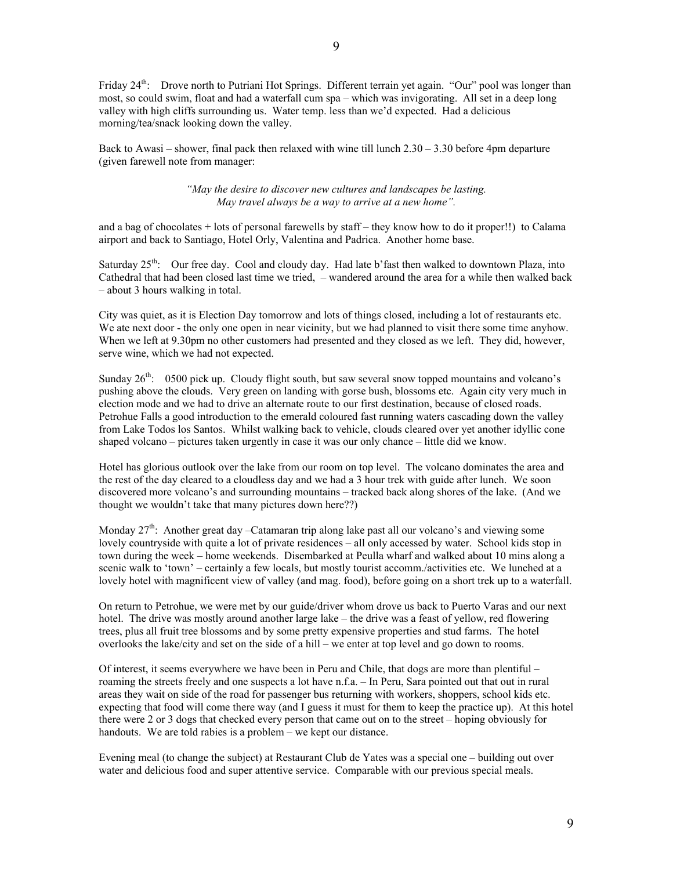Friday 24<sup>th</sup>: Drove north to Putriani Hot Springs. Different terrain yet again. "Our" pool was longer than most, so could swim, float and had a waterfall cum spa – which was invigorating. All set in a deep long valley with high cliffs surrounding us. Water temp. less than we'd expected. Had a delicious morning/tea/snack looking down the valley.

Back to Awasi – shower, final pack then relaxed with wine till lunch 2.30 – 3.30 before 4pm departure (given farewell note from manager:

> *"May the desire to discover new cultures and landscapes be lasting. May travel always be a way to arrive at a new home".*

and a bag of chocolates + lots of personal farewells by staff – they know how to do it proper!!) to Calama airport and back to Santiago, Hotel Orly, Valentina and Padrica. Another home base.

Saturday  $25<sup>th</sup>$ : Our free day. Cool and cloudy day. Had late b'fast then walked to downtown Plaza, into Cathedral that had been closed last time we tried, – wandered around the area for a while then walked back – about 3 hours walking in total.

City was quiet, as it is Election Day tomorrow and lots of things closed, including a lot of restaurants etc. We ate next door - the only one open in near vicinity, but we had planned to visit there some time anyhow. When we left at 9.30pm no other customers had presented and they closed as we left. They did, however, serve wine, which we had not expected.

Sunday  $26<sup>th</sup>$ : 0500 pick up. Cloudy flight south, but saw several snow topped mountains and volcano's pushing above the clouds. Very green on landing with gorse bush, blossoms etc. Again city very much in election mode and we had to drive an alternate route to our first destination, because of closed roads. Petrohue Falls a good introduction to the emerald coloured fast running waters cascading down the valley from Lake Todos los Santos. Whilst walking back to vehicle, clouds cleared over yet another idyllic cone shaped volcano – pictures taken urgently in case it was our only chance – little did we know.

Hotel has glorious outlook over the lake from our room on top level. The volcano dominates the area and the rest of the day cleared to a cloudless day and we had a 3 hour trek with guide after lunch. We soon discovered more volcano's and surrounding mountains – tracked back along shores of the lake. (And we thought we wouldn't take that many pictures down here??)

Monday  $27<sup>th</sup>$ : Another great day –Catamaran trip along lake past all our volcano's and viewing some lovely countryside with quite a lot of private residences – all only accessed by water. School kids stop in town during the week – home weekends. Disembarked at Peulla wharf and walked about 10 mins along a scenic walk to 'town' – certainly a few locals, but mostly tourist accomm./activities etc. We lunched at a lovely hotel with magnificent view of valley (and mag. food), before going on a short trek up to a waterfall.

On return to Petrohue, we were met by our guide/driver whom drove us back to Puerto Varas and our next hotel. The drive was mostly around another large lake – the drive was a feast of yellow, red flowering trees, plus all fruit tree blossoms and by some pretty expensive properties and stud farms. The hotel overlooks the lake/city and set on the side of a hill – we enter at top level and go down to rooms.

Of interest, it seems everywhere we have been in Peru and Chile, that dogs are more than plentiful – roaming the streets freely and one suspects a lot have n.f.a. – In Peru, Sara pointed out that out in rural areas they wait on side of the road for passenger bus returning with workers, shoppers, school kids etc. expecting that food will come there way (and I guess it must for them to keep the practice up). At this hotel there were 2 or 3 dogs that checked every person that came out on to the street – hoping obviously for handouts. We are told rabies is a problem – we kept our distance.

Evening meal (to change the subject) at Restaurant Club de Yates was a special one – building out over water and delicious food and super attentive service. Comparable with our previous special meals.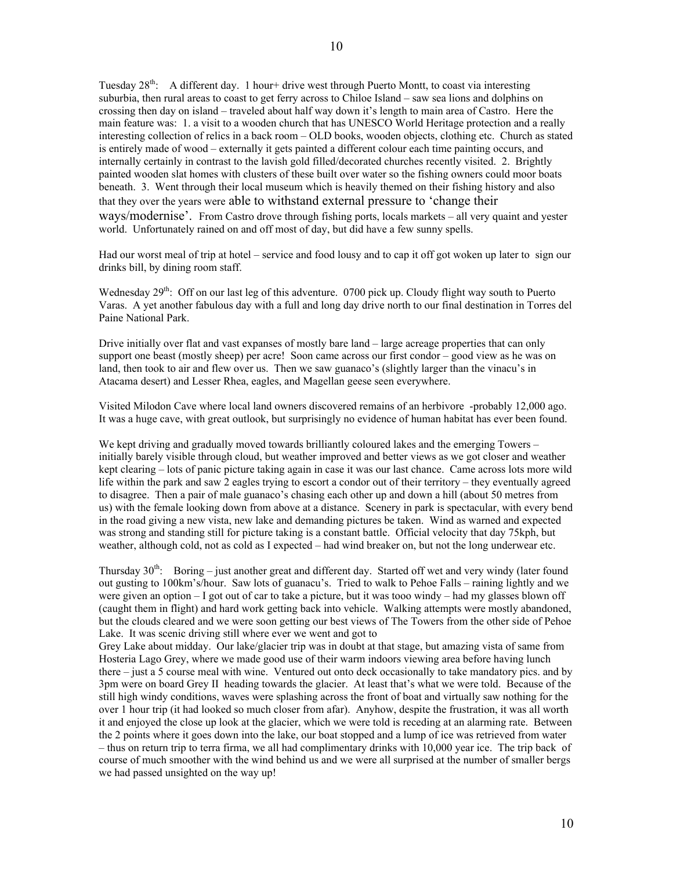Tuesday  $28<sup>th</sup>$ : A different day. 1 hour+ drive west through Puerto Montt, to coast via interesting suburbia, then rural areas to coast to get ferry across to Chiloe Island – saw sea lions and dolphins on crossing then day on island – traveled about half way down it's length to main area of Castro. Here the main feature was: 1. a visit to a wooden church that has UNESCO World Heritage protection and a really interesting collection of relics in a back room – OLD books, wooden objects, clothing etc. Church as stated is entirely made of wood – externally it gets painted a different colour each time painting occurs, and internally certainly in contrast to the lavish gold filled/decorated churches recently visited. 2. Brightly painted wooden slat homes with clusters of these built over water so the fishing owners could moor boats beneath. 3. Went through their local museum which is heavily themed on their fishing history and also that they over the years were able to withstand external pressure to 'change their ways/modernise'. From Castro drove through fishing ports, locals markets – all very quaint and yester world. Unfortunately rained on and off most of day, but did have a few sunny spells.

Had our worst meal of trip at hotel – service and food lousy and to cap it off got woken up later to sign our drinks bill, by dining room staff.

Wednesday 29<sup>th</sup>: Off on our last leg of this adventure. 0700 pick up. Cloudy flight way south to Puerto Varas. A yet another fabulous day with a full and long day drive north to our final destination in Torres del Paine National Park.

Drive initially over flat and vast expanses of mostly bare land – large acreage properties that can only support one beast (mostly sheep) per acre! Soon came across our first condor – good view as he was on land, then took to air and flew over us. Then we saw guanaco's (slightly larger than the vinacu's in Atacama desert) and Lesser Rhea, eagles, and Magellan geese seen everywhere.

Visited Milodon Cave where local land owners discovered remains of an herbivore -probably 12,000 ago. It was a huge cave, with great outlook, but surprisingly no evidence of human habitat has ever been found.

We kept driving and gradually moved towards brilliantly coloured lakes and the emerging Towers – initially barely visible through cloud, but weather improved and better views as we got closer and weather kept clearing – lots of panic picture taking again in case it was our last chance. Came across lots more wild life within the park and saw 2 eagles trying to escort a condor out of their territory – they eventually agreed to disagree. Then a pair of male guanaco's chasing each other up and down a hill (about 50 metres from us) with the female looking down from above at a distance. Scenery in park is spectacular, with every bend in the road giving a new vista, new lake and demanding pictures be taken. Wind as warned and expected was strong and standing still for picture taking is a constant battle. Official velocity that day 75kph, but weather, although cold, not as cold as I expected – had wind breaker on, but not the long underwear etc.

Thursday  $30<sup>th</sup>$ : Boring – just another great and different day. Started off wet and very windy (later found out gusting to 100km's/hour. Saw lots of guanacu's. Tried to walk to Pehoe Falls – raining lightly and we were given an option – I got out of car to take a picture, but it was tooo windy – had my glasses blown off (caught them in flight) and hard work getting back into vehicle. Walking attempts were mostly abandoned, but the clouds cleared and we were soon getting our best views of The Towers from the other side of Pehoe Lake. It was scenic driving still where ever we went and got to

Grey Lake about midday. Our lake/glacier trip was in doubt at that stage, but amazing vista of same from Hosteria Lago Grey, where we made good use of their warm indoors viewing area before having lunch there – just a 5 course meal with wine. Ventured out onto deck occasionally to take mandatory pics. and by 3pm were on board Grey II heading towards the glacier. At least that's what we were told. Because of the still high windy conditions, waves were splashing across the front of boat and virtually saw nothing for the over 1 hour trip (it had looked so much closer from afar). Anyhow, despite the frustration, it was all worth it and enjoyed the close up look at the glacier, which we were told is receding at an alarming rate. Between the 2 points where it goes down into the lake, our boat stopped and a lump of ice was retrieved from water – thus on return trip to terra firma, we all had complimentary drinks with 10,000 year ice. The trip back of course of much smoother with the wind behind us and we were all surprised at the number of smaller bergs we had passed unsighted on the way up!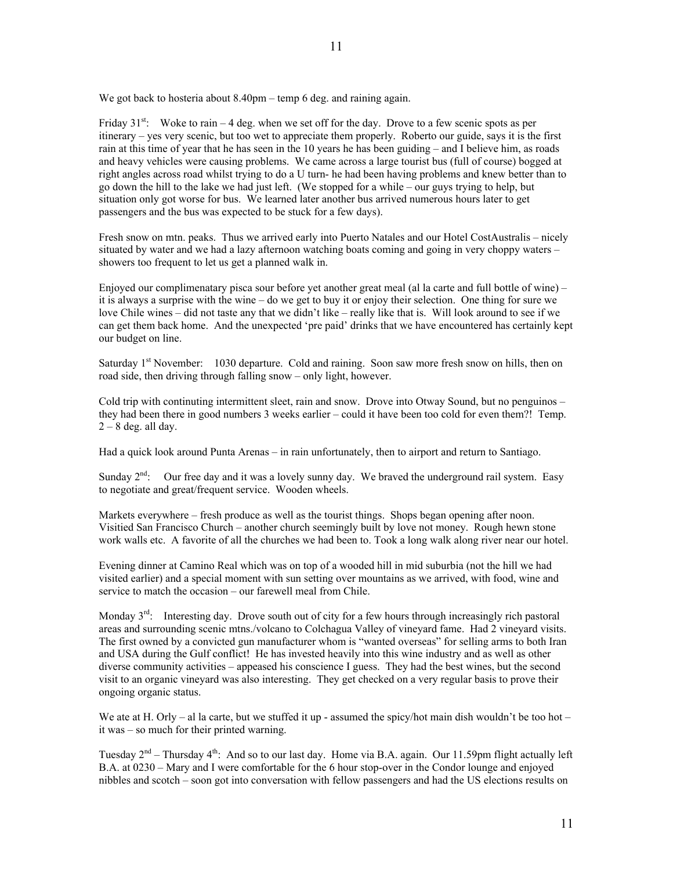We got back to hosteria about 8.40pm – temp 6 deg. and raining again.

Friday  $31^{st}$ : Woke to rain – 4 deg. when we set off for the day. Drove to a few scenic spots as per itinerary – yes very scenic, but too wet to appreciate them properly. Roberto our guide, says it is the first rain at this time of year that he has seen in the 10 years he has been guiding – and I believe him, as roads and heavy vehicles were causing problems. We came across a large tourist bus (full of course) bogged at right angles across road whilst trying to do a U turn- he had been having problems and knew better than to go down the hill to the lake we had just left. (We stopped for a while – our guys trying to help, but situation only got worse for bus. We learned later another bus arrived numerous hours later to get passengers and the bus was expected to be stuck for a few days).

11

Fresh snow on mtn. peaks. Thus we arrived early into Puerto Natales and our Hotel CostAustralis – nicely situated by water and we had a lazy afternoon watching boats coming and going in very choppy waters – showers too frequent to let us get a planned walk in.

Enjoyed our complimenatary pisca sour before yet another great meal (al la carte and full bottle of wine) – it is always a surprise with the wine – do we get to buy it or enjoy their selection. One thing for sure we love Chile wines – did not taste any that we didn't like – really like that is. Will look around to see if we can get them back home. And the unexpected 'pre paid' drinks that we have encountered has certainly kept our budget on line.

Saturday 1<sup>st</sup> November: 1030 departure. Cold and raining. Soon saw more fresh snow on hills, then on road side, then driving through falling snow – only light, however.

Cold trip with continuting intermittent sleet, rain and snow. Drove into Otway Sound, but no penguinos – they had been there in good numbers 3 weeks earlier – could it have been too cold for even them?! Temp.  $2 - 8$  deg. all day.

Had a quick look around Punta Arenas – in rain unfortunately, then to airport and return to Santiago.

Sunday  $2<sup>nd</sup>$ : Our free day and it was a lovely sunny day. We braved the underground rail system. Easy to negotiate and great/frequent service. Wooden wheels.

Markets everywhere – fresh produce as well as the tourist things. Shops began opening after noon. Visitied San Francisco Church – another church seemingly built by love not money. Rough hewn stone work walls etc. A favorite of all the churches we had been to. Took a long walk along river near our hotel.

Evening dinner at Camino Real which was on top of a wooded hill in mid suburbia (not the hill we had visited earlier) and a special moment with sun setting over mountains as we arrived, with food, wine and service to match the occasion – our farewell meal from Chile.

Monday  $3<sup>rd</sup>$ : Interesting day. Drove south out of city for a few hours through increasingly rich pastoral areas and surrounding scenic mtns./volcano to Colchagua Valley of vineyard fame. Had 2 vineyard visits. The first owned by a convicted gun manufacturer whom is "wanted overseas" for selling arms to both Iran and USA during the Gulf conflict! He has invested heavily into this wine industry and as well as other diverse community activities – appeased his conscience I guess. They had the best wines, but the second visit to an organic vineyard was also interesting. They get checked on a very regular basis to prove their ongoing organic status.

We ate at H. Orly – al la carte, but we stuffed it up - assumed the spicy/hot main dish wouldn't be too hot – it was – so much for their printed warning.

Tuesday  $2<sup>nd</sup>$  – Thursday  $4<sup>th</sup>$ : And so to our last day. Home via B.A. again. Our 11.59pm flight actually left B.A. at 0230 – Mary and I were comfortable for the 6 hour stop-over in the Condor lounge and enjoyed nibbles and scotch – soon got into conversation with fellow passengers and had the US elections results on